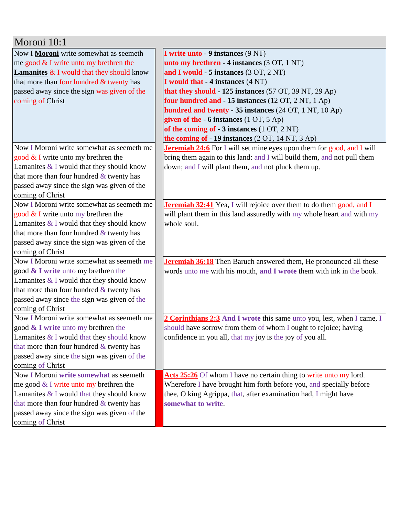| Moroni 10:1                                          |                                                                              |  |
|------------------------------------------------------|------------------------------------------------------------------------------|--|
| Now I Moroni write somewhat as seemeth               | I write unto - 9 instances (9 NT)                                            |  |
| me good $&$ I write unto my brethren the             | unto my brethren - 4 instances (3 OT, 1 NT)                                  |  |
| <b>Lamanites &amp; I</b> would that they should know | and I would - 5 instances (3 OT, 2 NT)                                       |  |
| that more than four hundred & twenty has             | I would that - 4 instances (4 NT)                                            |  |
| passed away since the sign was given of the          | that they should $-125$ instances (57 OT, 39 NT, 29 Ap)                      |  |
| coming of Christ                                     | four hundred and - 15 instances (12 OT, 2 NT, 1 Ap)                          |  |
|                                                      | hundred and twenty - 35 instances (24 OT, 1 NT, 10 Ap)                       |  |
|                                                      | given of the $-6$ instances $(1 OT, 5 Ap)$                                   |  |
|                                                      | of the coming of $-3$ instances $(1 OT, 2 NT)$                               |  |
|                                                      | the coming of $-19$ instances $(2 OT, 14 NT, 3 Ap)$                          |  |
| Now I Moroni write somewhat as seemeth me            | <b>Jeremiah 24:6</b> For I will set mine eyes upon them for good, and I will |  |
| good $&$ I write unto my brethren the                | bring them again to this land: and I will build them, and not pull them      |  |
| Lamanites $&$ I would that they should know          | down; and I will plant them, and not pluck them up.                          |  |
| that more than four hundred $&$ twenty has           |                                                                              |  |
| passed away since the sign was given of the          |                                                                              |  |
| coming of Christ                                     |                                                                              |  |
| Now I Moroni write somewhat as seemeth me            | <b>Jeremiah 32:41</b> Yea, I will rejoice over them to do them good, and I   |  |
| good $&$ I write unto my brethren the                | will plant them in this land assuredly with my whole heart and with my       |  |
| Lamanites $&$ I would that they should know          | whole soul.                                                                  |  |
| that more than four hundred $&$ twenty has           |                                                                              |  |
| passed away since the sign was given of the          |                                                                              |  |
| coming of Christ                                     |                                                                              |  |
| Now I Moroni write somewhat as seemeth me            | Jeremiah 36:18 Then Baruch answered them, He pronounced all these            |  |
| good & I write unto my brethren the                  | words unto me with his mouth, and I wrote them with ink in the book.         |  |
| Lamanites $&$ I would that they should know          |                                                                              |  |
| that more than four hundred $&$ twenty has           |                                                                              |  |
| passed away since the sign was given of the          |                                                                              |  |
| coming of Christ                                     |                                                                              |  |
| Now I Moroni write somewhat as seemeth me            | 2 Corinthians 2:3 And I wrote this same unto you, lest, when I came, I       |  |
| good & I write unto my brethren the                  | should have sorrow from them of whom I ought to rejoice; having              |  |
| Lamanites & I would that they should know            | confidence in you all, that my joy is the joy of you all.                    |  |
| that more than four hundred & twenty has             |                                                                              |  |
| passed away since the sign was given of the          |                                                                              |  |
| coming of Christ                                     |                                                                              |  |
| Now I Moroni write somewhat as seemeth               | Acts 25:26 Of whom I have no certain thing to write unto my lord.            |  |
| me good $&$ I write unto my brethren the             | Wherefore I have brought him forth before you, and specially before          |  |
| Lamanites $&$ I would that they should know          | thee, O king Agrippa, that, after examination had, I might have              |  |
| that more than four hundred & twenty has             | somewhat to write.                                                           |  |
| passed away since the sign was given of the          |                                                                              |  |
| coming of Christ                                     |                                                                              |  |